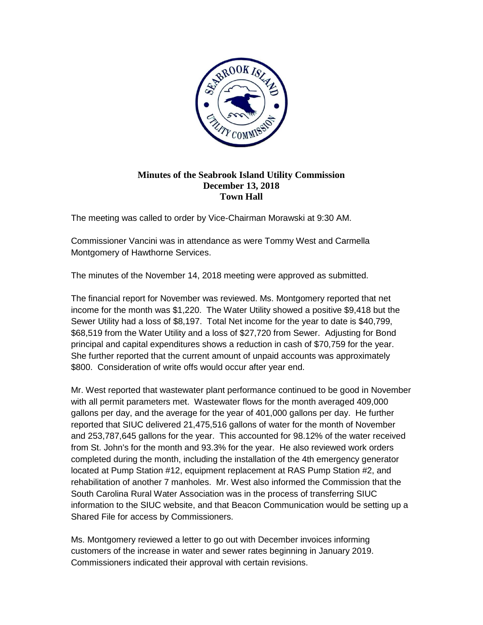

## **Minutes of the Seabrook Island Utility Commission December 13, 2018 Town Hall**

The meeting was called to order by Vice-Chairman Morawski at 9:30 AM.

Commissioner Vancini was in attendance as were Tommy West and Carmella Montgomery of Hawthorne Services.

The minutes of the November 14, 2018 meeting were approved as submitted.

The financial report for November was reviewed. Ms. Montgomery reported that net income for the month was \$1,220. The Water Utility showed a positive \$9,418 but the Sewer Utility had a loss of \$8,197. Total Net income for the year to date is \$40,799, \$68,519 from the Water Utility and a loss of \$27,720 from Sewer. Adjusting for Bond principal and capital expenditures shows a reduction in cash of \$70,759 for the year. She further reported that the current amount of unpaid accounts was approximately \$800. Consideration of write offs would occur after year end.

Mr. West reported that wastewater plant performance continued to be good in November with all permit parameters met. Wastewater flows for the month averaged 409,000 gallons per day, and the average for the year of 401,000 gallons per day. He further reported that SIUC delivered 21,475,516 gallons of water for the month of November and 253,787,645 gallons for the year. This accounted for 98.12% of the water received from St. John's for the month and 93.3% for the year. He also reviewed work orders completed during the month, including the installation of the 4th emergency generator located at Pump Station #12, equipment replacement at RAS Pump Station #2, and rehabilitation of another 7 manholes. Mr. West also informed the Commission that the South Carolina Rural Water Association was in the process of transferring SIUC information to the SIUC website, and that Beacon Communication would be setting up a Shared File for access by Commissioners.

Ms. Montgomery reviewed a letter to go out with December invoices informing customers of the increase in water and sewer rates beginning in January 2019. Commissioners indicated their approval with certain revisions.